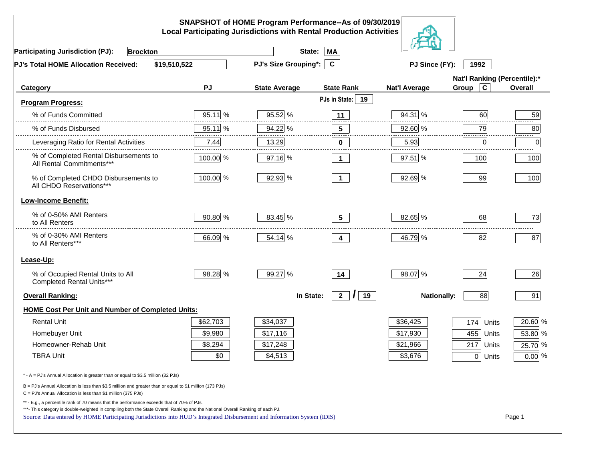|                                                                                                                                                                                                                                                                                                                                                          |           | SNAPSHOT of HOME Program Performance--As of 09/30/2019<br><b>Local Participating Jurisdictions with Rental Production Activities</b> |                           |                      |                              |          |
|----------------------------------------------------------------------------------------------------------------------------------------------------------------------------------------------------------------------------------------------------------------------------------------------------------------------------------------------------------|-----------|--------------------------------------------------------------------------------------------------------------------------------------|---------------------------|----------------------|------------------------------|----------|
| <b>Participating Jurisdiction (PJ):</b><br><b>Brockton</b>                                                                                                                                                                                                                                                                                               |           | State:                                                                                                                               | MA                        |                      |                              |          |
| \$19,510,522<br>PJ's Total HOME Allocation Received:                                                                                                                                                                                                                                                                                                     |           | <b>PJ's Size Grouping*:</b>                                                                                                          | $\mathbf{C}$              | PJ Since (FY):       | 1992                         |          |
|                                                                                                                                                                                                                                                                                                                                                          |           |                                                                                                                                      |                           |                      | Nat'l Ranking (Percentile):* |          |
| Category                                                                                                                                                                                                                                                                                                                                                 | PJ        | <b>State Average</b>                                                                                                                 | <b>State Rank</b>         | <b>Nat'l Average</b> | $\mathbf c$<br>Group         | Overall  |
| <b>Program Progress:</b>                                                                                                                                                                                                                                                                                                                                 |           |                                                                                                                                      | PJs in State: 19          |                      |                              |          |
| % of Funds Committed                                                                                                                                                                                                                                                                                                                                     | 95.11 %   | 95.52 %                                                                                                                              | 11                        | 94.31 %              | 60                           | 59       |
| % of Funds Disbursed                                                                                                                                                                                                                                                                                                                                     | $95.11$ % | 94.22 %                                                                                                                              | $5\phantom{.0}$           | 92.60 %              | 79                           | 80<br>.  |
| Leveraging Ratio for Rental Activities                                                                                                                                                                                                                                                                                                                   | 7.44      | 13.29                                                                                                                                | 0                         | 5.93                 | 0                            | 0        |
| % of Completed Rental Disbursements to<br>All Rental Commitments***                                                                                                                                                                                                                                                                                      | 100.00 %  | 97.16 %                                                                                                                              | $\mathbf 1$               | 97.51 %              | 100                          | 100      |
| % of Completed CHDO Disbursements to<br>All CHDO Reservations***                                                                                                                                                                                                                                                                                         | 100.00 %  | 92.93 %                                                                                                                              | $\overline{1}$            | 92.69 %              | 99                           | 100      |
| <b>Low-Income Benefit:</b>                                                                                                                                                                                                                                                                                                                               |           |                                                                                                                                      |                           |                      |                              |          |
| % of 0-50% AMI Renters<br>to All Renters                                                                                                                                                                                                                                                                                                                 | 90.80 %   | 83.45 %                                                                                                                              | 5 <sup>5</sup>            | 82.65 %              | 68                           | 73       |
| % of 0-30% AMI Renters<br>to All Renters***                                                                                                                                                                                                                                                                                                              | 66.09 %   | 54.14 %                                                                                                                              | 4                         | 46.79 %              | 82                           | 87       |
| Lease-Up:                                                                                                                                                                                                                                                                                                                                                |           |                                                                                                                                      |                           |                      |                              |          |
| % of Occupied Rental Units to All<br>Completed Rental Units***                                                                                                                                                                                                                                                                                           | 98.28 %   | 99.27 %                                                                                                                              | 14                        | 98.07 %              | 24                           | 26       |
| <b>Overall Ranking:</b>                                                                                                                                                                                                                                                                                                                                  |           | In State:                                                                                                                            | 2 <sup>7</sup><br>19<br>I | <b>Nationally:</b>   | 88                           | 91       |
| <b>HOME Cost Per Unit and Number of Completed Units:</b>                                                                                                                                                                                                                                                                                                 |           |                                                                                                                                      |                           |                      |                              |          |
| <b>Rental Unit</b>                                                                                                                                                                                                                                                                                                                                       | \$62,703  | \$34,037                                                                                                                             |                           | \$36,425             | 174<br>Units                 | 20.60 %  |
| Homebuyer Unit                                                                                                                                                                                                                                                                                                                                           | \$9,980   | \$17,116                                                                                                                             |                           | \$17,930             | 455 Units                    | 53.80 %  |
| Homeowner-Rehab Unit                                                                                                                                                                                                                                                                                                                                     | \$8,294   | \$17,248                                                                                                                             |                           | \$21,966             | 217 Units                    | 25.70 %  |
| <b>TBRA Unit</b>                                                                                                                                                                                                                                                                                                                                         | \$0       | \$4,513                                                                                                                              |                           | \$3,676              | $0$ Units                    | $0.00$ % |
| * - A = PJ's Annual Allocation is greater than or equal to \$3.5 million (32 PJs)                                                                                                                                                                                                                                                                        |           |                                                                                                                                      |                           |                      |                              |          |
| B = PJ's Annual Allocation is less than \$3.5 million and greater than or equal to \$1 million (173 PJs)<br>$C = PJ's$ Annual Allocation is less than \$1 million (375 PJs)                                                                                                                                                                              |           |                                                                                                                                      |                           |                      |                              |          |
| ** - E.g., a percentile rank of 70 means that the performance exceeds that of 70% of PJs.<br>***- This category is double-weighted in compiling both the State Overall Ranking and the National Overall Ranking of each PJ.<br>Source: Data entered by HOME Participating Jurisdictions into HUD's Integrated Disbursement and Information System (IDIS) |           |                                                                                                                                      |                           |                      |                              | Page 1   |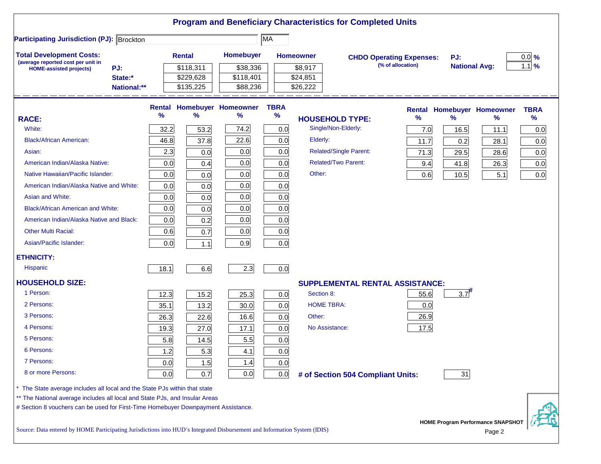|                                                                                                                           |                               |      |                                     |                                        |                     |                                 | <b>Program and Beneficiary Characteristics for Completed Units</b> |                   |                             |                                           |                     |
|---------------------------------------------------------------------------------------------------------------------------|-------------------------------|------|-------------------------------------|----------------------------------------|---------------------|---------------------------------|--------------------------------------------------------------------|-------------------|-----------------------------|-------------------------------------------|---------------------|
| <b>Participating Jurisdiction (PJ): Brockton</b>                                                                          |                               |      |                                     |                                        | MA                  |                                 |                                                                    |                   |                             |                                           |                     |
| <b>Total Development Costs:</b><br>(average reported cost per unit in                                                     |                               |      | <b>Rental</b>                       | Homebuyer                              |                     | <b>Homeowner</b>                | <b>CHDO Operating Expenses:</b>                                    | (% of allocation) | PJ:<br><b>National Avg:</b> |                                           | $0.0$ %<br>$1.1$ %  |
| <b>HOME-assisted projects)</b>                                                                                            | PJ:<br>State:*<br>National:** |      | \$118,311<br>\$229,628<br>\$135,225 | \$38,336<br>\$118,401<br>\$88,236      |                     | \$8,917<br>\$24,851<br>\$26,222 |                                                                    |                   |                             |                                           |                     |
|                                                                                                                           |                               |      |                                     |                                        |                     |                                 |                                                                    |                   |                             |                                           |                     |
| <b>RACE:</b>                                                                                                              |                               | %    | %                                   | <b>Rental Homebuyer Homeowner</b><br>℅ | <b>TBRA</b><br>$\%$ |                                 | <b>HOUSEHOLD TYPE:</b>                                             | $\%$              | %                           | <b>Rental Homebuyer Homeowner</b><br>$\%$ | <b>TBRA</b><br>$\%$ |
| White:                                                                                                                    |                               | 32.2 | 53.2                                | 74.2                                   | 0.0                 |                                 | Single/Non-Elderly:                                                | 7.0               | 16.5                        | 11.1                                      | 0.0                 |
| <b>Black/African American:</b>                                                                                            |                               | 46.8 | 37.8                                | 22.6                                   | 0.0                 | Elderly:                        |                                                                    | 11.7              | 0.2                         | 28.1                                      | 0.0                 |
| Asian:                                                                                                                    |                               | 2.3  | 0.0                                 | 0.0                                    | 0.0                 |                                 | <b>Related/Single Parent:</b>                                      | 71.3              | 29.5                        | 28.6                                      | 0.0                 |
| American Indian/Alaska Native:                                                                                            |                               | 0.0  | 0.4                                 | 0.0                                    | 0.0                 |                                 | <b>Related/Two Parent:</b>                                         | 9.4               | 41.8                        | 26.3                                      | 0.0                 |
| Native Hawaiian/Pacific Islander:                                                                                         |                               | 0.0  | 0.0                                 | 0.0                                    | 0.0                 | Other:                          |                                                                    | 0.6               | 10.5                        | 5.1                                       | 0.0                 |
| American Indian/Alaska Native and White:                                                                                  |                               | 0.0  | 0.0                                 | 0.0                                    | 0.0                 |                                 |                                                                    |                   |                             |                                           |                     |
| Asian and White:                                                                                                          |                               | 0.0  | 0.0                                 | 0.0                                    | 0.0                 |                                 |                                                                    |                   |                             |                                           |                     |
| Black/African American and White:                                                                                         |                               | 0.0  | 0.0                                 | 0.0                                    | 0.0                 |                                 |                                                                    |                   |                             |                                           |                     |
| American Indian/Alaska Native and Black:                                                                                  |                               | 0.0  | 0.2                                 | 0.0                                    | 0.0                 |                                 |                                                                    |                   |                             |                                           |                     |
| <b>Other Multi Racial:</b>                                                                                                |                               | 0.6  | 0.7                                 | 0.0                                    | 0.0                 |                                 |                                                                    |                   |                             |                                           |                     |
| Asian/Pacific Islander:                                                                                                   |                               | 0.0  | $1.1$                               | 0.9                                    | 0.0                 |                                 |                                                                    |                   |                             |                                           |                     |
| <b>ETHNICITY:</b>                                                                                                         |                               |      |                                     |                                        |                     |                                 |                                                                    |                   |                             |                                           |                     |
| <b>Hispanic</b>                                                                                                           |                               | 18.1 | 6.6                                 | 2.3                                    | 0.0                 |                                 |                                                                    |                   |                             |                                           |                     |
| <b>HOUSEHOLD SIZE:</b>                                                                                                    |                               |      |                                     |                                        |                     |                                 | <b>SUPPLEMENTAL RENTAL ASSISTANCE:</b>                             |                   |                             |                                           |                     |
| 1 Person:                                                                                                                 |                               | 12.3 | 15.2                                | 25.3                                   | 0.0                 | Section 8:                      |                                                                    | 55.6              | 3.7                         |                                           |                     |
| 2 Persons:                                                                                                                |                               | 35.1 | 13.2                                | 30.0                                   | 0.0                 | <b>HOME TBRA:</b>               |                                                                    | 0.0               |                             |                                           |                     |
| 3 Persons:                                                                                                                |                               | 26.3 | 22.6                                | 16.6                                   | 0.0                 | Other:                          |                                                                    | 26.9              |                             |                                           |                     |
| 4 Persons:                                                                                                                |                               | 19.3 | 27.0                                | 17.1                                   | 0.0                 |                                 | No Assistance:                                                     | 17.5              |                             |                                           |                     |
| 5 Persons:                                                                                                                |                               | 5.8  | 14.5                                | 5.5                                    | 0.0                 |                                 |                                                                    |                   |                             |                                           |                     |
| 6 Persons:                                                                                                                |                               | 1.2  | 5.3                                 | 4.1                                    | 0.0                 |                                 |                                                                    |                   |                             |                                           |                     |
| 7 Persons:                                                                                                                |                               | 0.0  | 1.5                                 | 1.4                                    | 0.0                 |                                 |                                                                    |                   |                             |                                           |                     |
| 8 or more Persons:                                                                                                        |                               | 0.0  | 0.7                                 | 0.0                                    | 0.0                 |                                 | # of Section 504 Compliant Units:                                  |                   | 31                          |                                           |                     |
| The State average includes all local and the State PJs within that state                                                  |                               |      |                                     |                                        |                     |                                 |                                                                    |                   |                             |                                           |                     |
| ** The National average includes all local and State PJs, and Insular Areas                                               |                               |      |                                     |                                        |                     |                                 |                                                                    |                   |                             |                                           |                     |
| # Section 8 vouchers can be used for First-Time Homebuyer Downpayment Assistance.                                         |                               |      |                                     |                                        |                     |                                 |                                                                    |                   |                             | <b>HOME Program Performance SNAPSHOT</b>  |                     |
| Source: Data entered by HOME Participating Jurisdictions into HUD's Integrated Disbursement and Information System (IDIS) |                               |      |                                     |                                        |                     |                                 |                                                                    |                   |                             | Page 2                                    |                     |